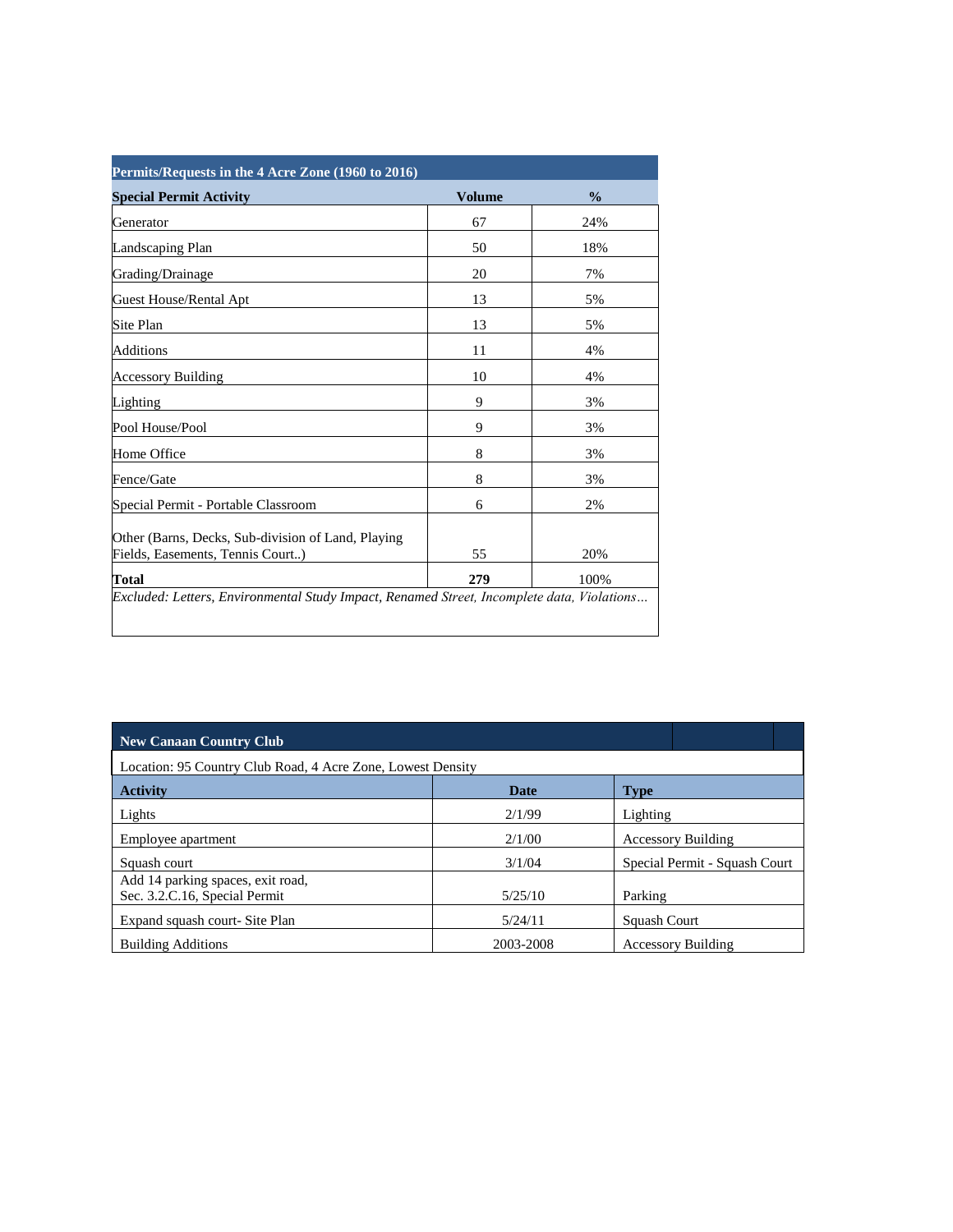| <b>Special Permit Activity</b>                                                         | <b>Volume</b> | $\frac{0}{0}$ |
|----------------------------------------------------------------------------------------|---------------|---------------|
| Generator                                                                              | 67            | 24%           |
| Landscaping Plan                                                                       | 50            | 18%           |
| Grading/Drainage                                                                       | 20            | 7%            |
| Guest House/Rental Apt                                                                 | 13            | 5%            |
| Site Plan                                                                              | 13            | 5%            |
| Additions                                                                              | 11            | 4%            |
| <b>Accessory Building</b>                                                              | 10            | 4%            |
| Lighting                                                                               | 9             | 3%            |
| Pool House/Pool                                                                        | 9             | 3%            |
| Home Office                                                                            | 8             | 3%            |
| Fence/Gate                                                                             | 8             | 3%            |
| Special Permit - Portable Classroom                                                    | 6             | 2%            |
| Other (Barns, Decks, Sub-division of Land, Playing<br>Fields, Easements, Tennis Court) | 55            | 20%           |
| Total                                                                                  | 279           | 100%          |

| <b>New Canaan Country Club</b>                              |           |                               |  |  |
|-------------------------------------------------------------|-----------|-------------------------------|--|--|
| Location: 95 Country Club Road, 4 Acre Zone, Lowest Density |           |                               |  |  |
| <b>Activity</b>                                             | Date      | <b>Type</b>                   |  |  |
| Lights                                                      | 2/1/99    | Lighting                      |  |  |
| Employee apartment                                          | 2/1/00    | <b>Accessory Building</b>     |  |  |
| Squash court                                                | 3/1/04    | Special Permit - Squash Court |  |  |
| Add 14 parking spaces, exit road,                           |           |                               |  |  |
| Sec. 3.2.C.16, Special Permit                               | 5/25/10   | Parking                       |  |  |
| Expand squash court- Site Plan                              | 5/24/11   | Squash Court                  |  |  |
| <b>Building Additions</b>                                   | 2003-2008 | <b>Accessory Building</b>     |  |  |